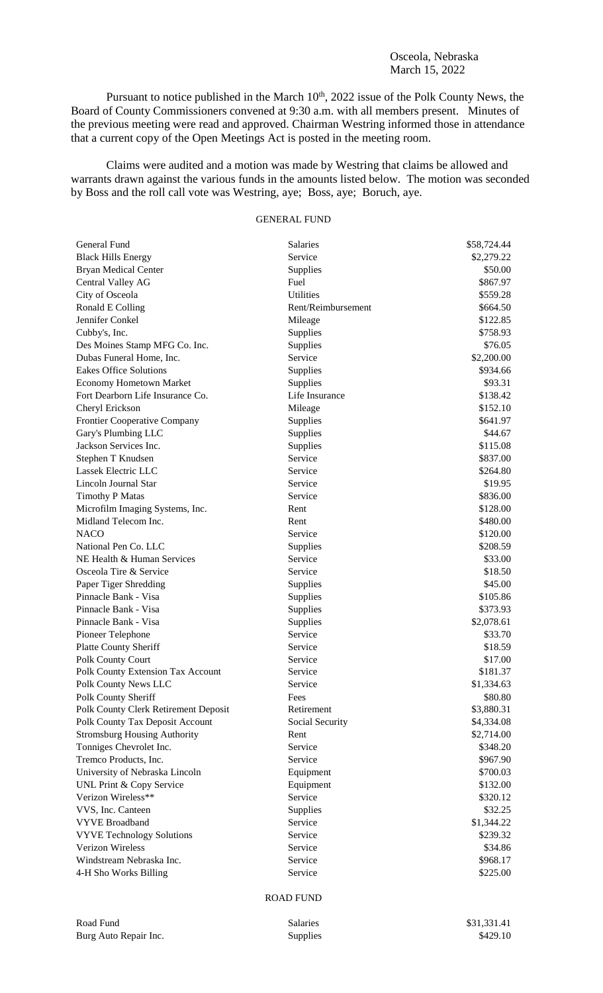## Osceola, Nebraska March 15, 2022

Pursuant to notice published in the March  $10<sup>th</sup>$ , 2022 issue of the Polk County News, the Board of County Commissioners convened at 9:30 a.m. with all members present. Minutes of the previous meeting were read and approved. Chairman Westring informed those in attendance that a current copy of the Open Meetings Act is posted in the meeting room.

Claims were audited and a motion was made by Westring that claims be allowed and warrants drawn against the various funds in the amounts listed below. The motion was seconded by Boss and the roll call vote was Westring, aye; Boss, aye; Boruch, aye.

## GENERAL FUND

| General Fund                         | <b>Salaries</b>    | \$58,724.44 |
|--------------------------------------|--------------------|-------------|
| <b>Black Hills Energy</b>            | Service            | \$2,279.22  |
| <b>Bryan Medical Center</b>          | Supplies           | \$50.00     |
| Central Valley AG                    | Fuel               | \$867.97    |
| City of Osceola                      | <b>Utilities</b>   | \$559.28    |
| Ronald E Colling                     | Rent/Reimbursement | \$664.50    |
| Jennifer Conkel                      | Mileage            | \$122.85    |
| Cubby's, Inc.                        | Supplies           | \$758.93    |
| Des Moines Stamp MFG Co. Inc.        | Supplies           | \$76.05     |
| Dubas Funeral Home, Inc.             | Service            | \$2,200.00  |
| <b>Eakes Office Solutions</b>        | Supplies           | \$934.66    |
| <b>Economy Hometown Market</b>       | Supplies           | \$93.31     |
| Fort Dearborn Life Insurance Co.     | Life Insurance     | \$138.42    |
| Cheryl Erickson                      | Mileage            | \$152.10    |
| Frontier Cooperative Company         | Supplies           | \$641.97    |
| Gary's Plumbing LLC                  | Supplies           | \$44.67     |
| Jackson Services Inc.                | Supplies           | \$115.08    |
| Stephen T Knudsen                    | Service            | \$837.00    |
| Lassek Electric LLC                  | Service            | \$264.80    |
| Lincoln Journal Star                 | Service            | \$19.95     |
| <b>Timothy P Matas</b>               | Service            | \$836.00    |
| Microfilm Imaging Systems, Inc.      | Rent               | \$128.00    |
| Midland Telecom Inc.                 | Rent               | \$480.00    |
| <b>NACO</b>                          | Service            | \$120.00    |
| National Pen Co. LLC                 | Supplies           | \$208.59    |
| NE Health & Human Services           | Service            | \$33.00     |
| Osceola Tire & Service               | Service            | \$18.50     |
| Paper Tiger Shredding                | Supplies           | \$45.00     |
| Pinnacle Bank - Visa                 | Supplies           | \$105.86    |
| Pinnacle Bank - Visa                 | Supplies           | \$373.93    |
| Pinnacle Bank - Visa                 | Supplies           | \$2,078.61  |
| Pioneer Telephone                    | Service            | \$33.70     |
| <b>Platte County Sheriff</b>         | Service            | \$18.59     |
| Polk County Court                    | Service            | \$17.00     |
| Polk County Extension Tax Account    | Service            | \$181.37    |
| Polk County News LLC                 | Service            | \$1,334.63  |
| Polk County Sheriff                  | Fees               | \$80.80     |
| Polk County Clerk Retirement Deposit | Retirement         | \$3,880.31  |
| Polk County Tax Deposit Account      | Social Security    | \$4,334.08  |
| <b>Stromsburg Housing Authority</b>  | Rent               | \$2,714.00  |
| Tonniges Chevrolet Inc.              | Service            | \$348.20    |
| Tremco Products, Inc.                | Service            | \$967.90    |
| University of Nebraska Lincoln       | Equipment          | \$700.03    |
| UNL Print & Copy Service             | Equipment          | \$132.00    |
| Verizon Wireless**                   | Service            | \$320.12    |
| VVS, Inc. Canteen                    | <b>Supplies</b>    | \$32.25     |
| <b>VYVE Broadband</b>                | Service            | \$1,344.22  |
| <b>VYVE Technology Solutions</b>     | Service            | \$239.32    |
| <b>Verizon Wireless</b>              | Service            | \$34.86     |
| Windstream Nebraska Inc.             | Service            | \$968.17    |
| 4-H Sho Works Billing                | Service            | \$225.00    |
|                                      |                    |             |

## ROAD FUND

| Road Fund             | <b>Salaries</b> | \$31.331.41 |
|-----------------------|-----------------|-------------|
| Burg Auto Repair Inc. | <b>Supplies</b> | \$429.10    |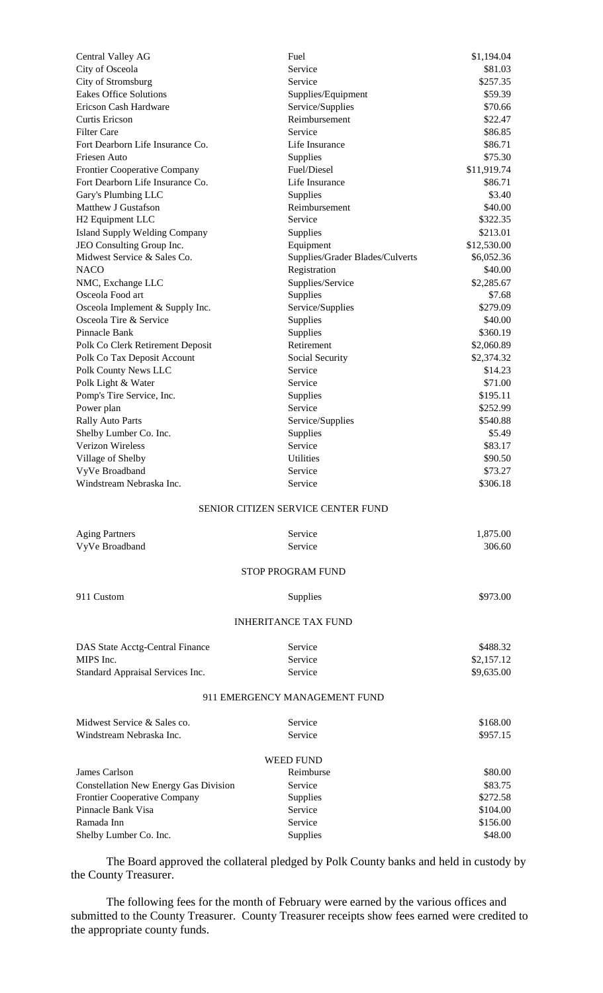| Central Valley AG                            | Fuel                                      | \$1,194.04  |
|----------------------------------------------|-------------------------------------------|-------------|
| City of Osceola                              | Service                                   | \$81.03     |
| City of Stromsburg                           | Service                                   | \$257.35    |
| <b>Eakes Office Solutions</b>                | Supplies/Equipment                        | \$59.39     |
| Ericson Cash Hardware                        | Service/Supplies                          | \$70.66     |
| <b>Curtis Ericson</b>                        | Reimbursement                             | \$22.47     |
| <b>Filter Care</b>                           | Service                                   | \$86.85     |
| Fort Dearborn Life Insurance Co.             | Life Insurance                            | \$86.71     |
| Friesen Auto                                 | Supplies                                  | \$75.30     |
| Frontier Cooperative Company                 | Fuel/Diesel                               | \$11,919.74 |
| Fort Dearborn Life Insurance Co.             | Life Insurance                            | \$86.71     |
| Gary's Plumbing LLC                          | Supplies                                  | \$3.40      |
| Matthew J Gustafson                          | Reimbursement                             | \$40.00     |
| H <sub>2</sub> Equipment LLC                 | Service                                   | \$322.35    |
| <b>Island Supply Welding Company</b>         | Supplies                                  | \$213.01    |
| JEO Consulting Group Inc.                    | Equipment                                 | \$12,530.00 |
| Midwest Service & Sales Co.                  | Supplies/Grader Blades/Culverts           | \$6,052.36  |
| <b>NACO</b>                                  | Registration                              | \$40.00     |
| NMC, Exchange LLC                            | Supplies/Service                          | \$2,285.67  |
| Osceola Food art                             | Supplies                                  | \$7.68      |
| Osceola Implement & Supply Inc.              | Service/Supplies                          | \$279.09    |
| Osceola Tire & Service                       | Supplies                                  | \$40.00     |
| Pinnacle Bank                                | Supplies                                  | \$360.19    |
| Polk Co Clerk Retirement Deposit             | Retirement                                | \$2,060.89  |
| Polk Co Tax Deposit Account                  | Social Security                           | \$2,374.32  |
| Polk County News LLC                         | Service                                   | \$14.23     |
| Polk Light & Water                           | Service                                   | \$71.00     |
| Pomp's Tire Service, Inc.                    | Supplies                                  | \$195.11    |
| Power plan                                   | Service                                   | \$252.99    |
| <b>Rally Auto Parts</b>                      | Service/Supplies                          | \$540.88    |
| Shelby Lumber Co. Inc.                       | Supplies                                  | \$5.49      |
| <b>Verizon Wireless</b>                      | Service                                   | \$83.17     |
| Village of Shelby                            | <b>Utilities</b>                          | \$90.50     |
| VyVe Broadband                               | Service                                   | \$73.27     |
| Windstream Nebraska Inc.                     | Service                                   | \$306.18    |
|                                              | <b>SENIOR CITIZEN SERVICE CENTER FUND</b> |             |
| <b>Aging Partners</b>                        | Service                                   | 1,875.00    |
| VyVe Broadband                               | Service                                   | 306.60      |
|                                              | <b>STOP PROGRAM FUND</b>                  |             |
|                                              |                                           |             |
| 911 Custom                                   | Supplies                                  | \$973.00    |
|                                              | <b>INHERITANCE TAX FUND</b>               |             |
| DAS State Acctg-Central Finance              | Service                                   | \$488.32    |
| MIPS Inc.                                    | Service                                   | \$2,157.12  |
| Standard Appraisal Services Inc.             | Service                                   | \$9,635.00  |
|                                              | 911 EMERGENCY MANAGEMENT FUND             |             |
| Midwest Service & Sales co.                  | Service                                   | \$168.00    |
| Windstream Nebraska Inc.                     | Service                                   | \$957.15    |
|                                              | <b>WEED FUND</b>                          |             |
| James Carlson                                | Reimburse                                 | \$80.00     |
| <b>Constellation New Energy Gas Division</b> | Service                                   | \$83.75     |
| Frontier Cooperative Company                 | Supplies                                  | \$272.58    |
| Pinnacle Bank Visa                           | Service                                   | \$104.00    |
| Ramada Inn                                   | Service                                   | \$156.00    |
| Shelby Lumber Co. Inc.                       | Supplies                                  | \$48.00     |
|                                              |                                           |             |

The Board approved the collateral pledged by Polk County banks and held in custody by the County Treasurer.

The following fees for the month of February were earned by the various offices and submitted to the County Treasurer. County Treasurer receipts show fees earned were credited to the appropriate county funds.